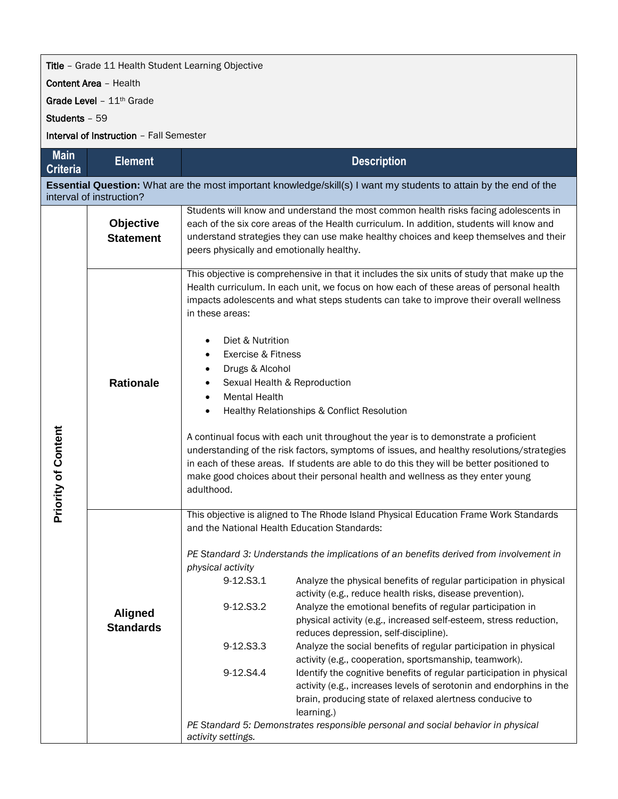## **Title** - Grade 11 Health Student Learning Objective

Content Area – Health

Grade Level - 11<sup>th</sup> Grade

Students – 59

Interval of Instruction – Fall Semester

| <b>Main</b><br><b>Criteria</b>                                                                                                                       | <b>Element</b>                     | <b>Description</b>                                                                                                                                                                                                                                                                                                                                                                                                                                                                                                                                                                                                                                                                                                                                                                                                                    |  |  |  |
|------------------------------------------------------------------------------------------------------------------------------------------------------|------------------------------------|---------------------------------------------------------------------------------------------------------------------------------------------------------------------------------------------------------------------------------------------------------------------------------------------------------------------------------------------------------------------------------------------------------------------------------------------------------------------------------------------------------------------------------------------------------------------------------------------------------------------------------------------------------------------------------------------------------------------------------------------------------------------------------------------------------------------------------------|--|--|--|
| <b>Essential Question:</b> What are the most important knowledge/skill(s) I want my students to attain by the end of the<br>interval of instruction? |                                    |                                                                                                                                                                                                                                                                                                                                                                                                                                                                                                                                                                                                                                                                                                                                                                                                                                       |  |  |  |
|                                                                                                                                                      | Objective<br><b>Statement</b>      | Students will know and understand the most common health risks facing adolescents in<br>each of the six core areas of the Health curriculum. In addition, students will know and<br>understand strategies they can use make healthy choices and keep themselves and their<br>peers physically and emotionally healthy.                                                                                                                                                                                                                                                                                                                                                                                                                                                                                                                |  |  |  |
|                                                                                                                                                      | <b>Rationale</b>                   | This objective is comprehensive in that it includes the six units of study that make up the<br>Health curriculum. In each unit, we focus on how each of these areas of personal health<br>impacts adolescents and what steps students can take to improve their overall wellness<br>in these areas:<br>Diet & Nutrition                                                                                                                                                                                                                                                                                                                                                                                                                                                                                                               |  |  |  |
|                                                                                                                                                      |                                    | Exercise & Fitness<br>$\bullet$                                                                                                                                                                                                                                                                                                                                                                                                                                                                                                                                                                                                                                                                                                                                                                                                       |  |  |  |
|                                                                                                                                                      |                                    | Drugs & Alcohol<br>٠<br>Sexual Health & Reproduction                                                                                                                                                                                                                                                                                                                                                                                                                                                                                                                                                                                                                                                                                                                                                                                  |  |  |  |
|                                                                                                                                                      |                                    | <b>Mental Health</b><br>$\bullet$                                                                                                                                                                                                                                                                                                                                                                                                                                                                                                                                                                                                                                                                                                                                                                                                     |  |  |  |
|                                                                                                                                                      |                                    | Healthy Relationships & Conflict Resolution<br>$\bullet$                                                                                                                                                                                                                                                                                                                                                                                                                                                                                                                                                                                                                                                                                                                                                                              |  |  |  |
| <b>Priority of Content</b>                                                                                                                           |                                    | A continual focus with each unit throughout the year is to demonstrate a proficient<br>understanding of the risk factors, symptoms of issues, and healthy resolutions/strategies<br>in each of these areas. If students are able to do this they will be better positioned to<br>make good choices about their personal health and wellness as they enter young<br>adulthood.                                                                                                                                                                                                                                                                                                                                                                                                                                                         |  |  |  |
|                                                                                                                                                      |                                    | This objective is aligned to The Rhode Island Physical Education Frame Work Standards<br>and the National Health Education Standards:                                                                                                                                                                                                                                                                                                                                                                                                                                                                                                                                                                                                                                                                                                 |  |  |  |
|                                                                                                                                                      | <b>Aligned</b><br><b>Standards</b> | PE Standard 3: Understands the implications of an benefits derived from involvement in<br>physical activity<br>9-12.S3.1<br>Analyze the physical benefits of regular participation in physical<br>activity (e.g., reduce health risks, disease prevention).<br>9-12.S3.2<br>Analyze the emotional benefits of regular participation in<br>physical activity (e.g., increased self-esteem, stress reduction,<br>reduces depression, self-discipline).<br>9-12.S3.3<br>Analyze the social benefits of regular participation in physical<br>activity (e.g., cooperation, sportsmanship, teamwork).<br>9-12.S4.4<br>Identify the cognitive benefits of regular participation in physical<br>activity (e.g., increases levels of serotonin and endorphins in the<br>brain, producing state of relaxed alertness conducive to<br>learning.) |  |  |  |
|                                                                                                                                                      |                                    | PE Standard 5: Demonstrates responsible personal and social behavior in physical<br>activity settings.                                                                                                                                                                                                                                                                                                                                                                                                                                                                                                                                                                                                                                                                                                                                |  |  |  |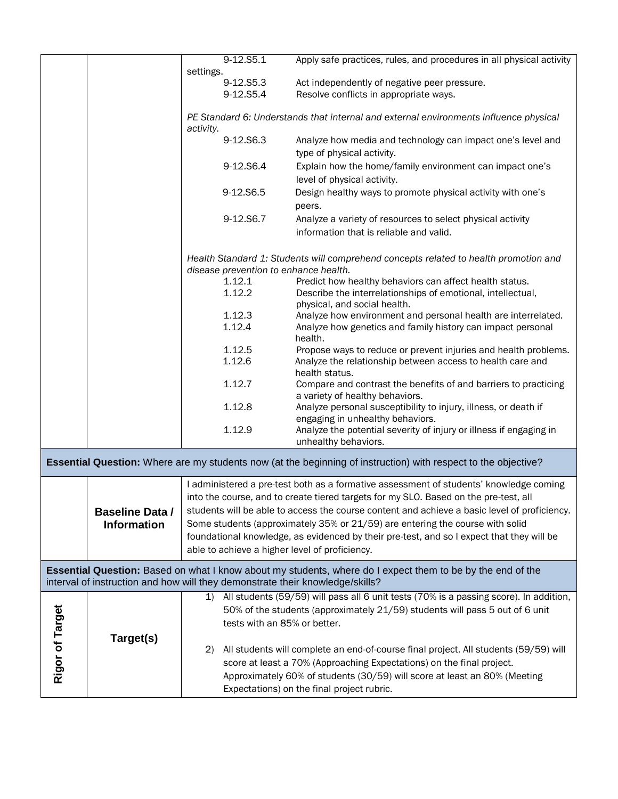| settings.<br>9-12.S5.3<br>Act independently of negative peer pressure.<br>9-12.S5.4<br>Resolve conflicts in appropriate ways.<br>PE Standard 6: Understands that internal and external environments influence physical<br>activity.<br>9-12.S6.3<br>Analyze how media and technology can impact one's level and<br>type of physical activity.<br>Explain how the home/family environment can impact one's<br>9-12.S6.4<br>level of physical activity.<br>Design healthy ways to promote physical activity with one's<br>9-12.S6.5<br>peers.<br>9-12.S6.7<br>Analyze a variety of resources to select physical activity<br>information that is reliable and valid.<br>Health Standard 1: Students will comprehend concepts related to health promotion and<br>disease prevention to enhance health.<br>1.12.1<br>Predict how healthy behaviors can affect health status.<br>1.12.2<br>Describe the interrelationships of emotional, intellectual,<br>physical, and social health.<br>1.12.3<br>Analyze how environment and personal health are interrelated.<br>1.12.4<br>Analyze how genetics and family history can impact personal<br>health.<br>1.12.5<br>Propose ways to reduce or prevent injuries and health problems.<br>1.12.6<br>Analyze the relationship between access to health care and<br>health status.<br>1.12.7<br>Compare and contrast the benefits of and barriers to practicing<br>a variety of healthy behaviors.<br>1.12.8<br>Analyze personal susceptibility to injury, illness, or death if<br>engaging in unhealthy behaviors.<br>Analyze the potential severity of injury or illness if engaging in<br>1.12.9<br>unhealthy behaviors.<br><b>Essential Question:</b> Where are my students now (at the beginning of instruction) with respect to the objective?<br>I administered a pre-test both as a formative assessment of students' knowledge coming<br>into the course, and to create tiered targets for my SLO. Based on the pre-test, all<br>students will be able to access the course content and achieve a basic level of proficiency.<br><b>Baseline Data /</b><br>Some students (approximately 35% or 21/59) are entering the course with solid<br><b>Information</b><br>foundational knowledge, as evidenced by their pre-test, and so I expect that they will be<br>able to achieve a higher level of proficiency.<br>Essential Question: Based on what I know about my students, where do I expect them to be by the end of the<br>interval of instruction and how will they demonstrate their knowledge/skills?<br>All students (59/59) will pass all 6 unit tests (70% is a passing score). In addition,<br>$\mathbf{1}$<br>Rigor of Target<br>50% of the students (approximately 21/59) students will pass 5 out of 6 unit<br>tests with an 85% or better.<br>Target(s)<br>All students will complete an end-of-course final project. All students (59/59) will<br>(2) |  |  | $9-12.55.1$ | Apply safe practices, rules, and procedures in all physical activity |  |  |
|--------------------------------------------------------------------------------------------------------------------------------------------------------------------------------------------------------------------------------------------------------------------------------------------------------------------------------------------------------------------------------------------------------------------------------------------------------------------------------------------------------------------------------------------------------------------------------------------------------------------------------------------------------------------------------------------------------------------------------------------------------------------------------------------------------------------------------------------------------------------------------------------------------------------------------------------------------------------------------------------------------------------------------------------------------------------------------------------------------------------------------------------------------------------------------------------------------------------------------------------------------------------------------------------------------------------------------------------------------------------------------------------------------------------------------------------------------------------------------------------------------------------------------------------------------------------------------------------------------------------------------------------------------------------------------------------------------------------------------------------------------------------------------------------------------------------------------------------------------------------------------------------------------------------------------------------------------------------------------------------------------------------------------------------------------------------------------------------------------------------------------------------------------------------------------------------------------------------------------------------------------------------------------------------------------------------------------------------------------------------------------------------------------------------------------------------------------------------------------------------------------------------------------------------------------------------------------------------------------------------------------------------------------------------------------------------------------------------------------------------------------------------------------------------------------------------------------------------------------------------------------------------------------------------|--|--|-------------|----------------------------------------------------------------------|--|--|
|                                                                                                                                                                                                                                                                                                                                                                                                                                                                                                                                                                                                                                                                                                                                                                                                                                                                                                                                                                                                                                                                                                                                                                                                                                                                                                                                                                                                                                                                                                                                                                                                                                                                                                                                                                                                                                                                                                                                                                                                                                                                                                                                                                                                                                                                                                                                                                                                                                                                                                                                                                                                                                                                                                                                                                                                                                                                                                                    |  |  |             |                                                                      |  |  |
|                                                                                                                                                                                                                                                                                                                                                                                                                                                                                                                                                                                                                                                                                                                                                                                                                                                                                                                                                                                                                                                                                                                                                                                                                                                                                                                                                                                                                                                                                                                                                                                                                                                                                                                                                                                                                                                                                                                                                                                                                                                                                                                                                                                                                                                                                                                                                                                                                                                                                                                                                                                                                                                                                                                                                                                                                                                                                                                    |  |  |             |                                                                      |  |  |
|                                                                                                                                                                                                                                                                                                                                                                                                                                                                                                                                                                                                                                                                                                                                                                                                                                                                                                                                                                                                                                                                                                                                                                                                                                                                                                                                                                                                                                                                                                                                                                                                                                                                                                                                                                                                                                                                                                                                                                                                                                                                                                                                                                                                                                                                                                                                                                                                                                                                                                                                                                                                                                                                                                                                                                                                                                                                                                                    |  |  |             |                                                                      |  |  |
|                                                                                                                                                                                                                                                                                                                                                                                                                                                                                                                                                                                                                                                                                                                                                                                                                                                                                                                                                                                                                                                                                                                                                                                                                                                                                                                                                                                                                                                                                                                                                                                                                                                                                                                                                                                                                                                                                                                                                                                                                                                                                                                                                                                                                                                                                                                                                                                                                                                                                                                                                                                                                                                                                                                                                                                                                                                                                                                    |  |  |             |                                                                      |  |  |
|                                                                                                                                                                                                                                                                                                                                                                                                                                                                                                                                                                                                                                                                                                                                                                                                                                                                                                                                                                                                                                                                                                                                                                                                                                                                                                                                                                                                                                                                                                                                                                                                                                                                                                                                                                                                                                                                                                                                                                                                                                                                                                                                                                                                                                                                                                                                                                                                                                                                                                                                                                                                                                                                                                                                                                                                                                                                                                                    |  |  |             |                                                                      |  |  |
|                                                                                                                                                                                                                                                                                                                                                                                                                                                                                                                                                                                                                                                                                                                                                                                                                                                                                                                                                                                                                                                                                                                                                                                                                                                                                                                                                                                                                                                                                                                                                                                                                                                                                                                                                                                                                                                                                                                                                                                                                                                                                                                                                                                                                                                                                                                                                                                                                                                                                                                                                                                                                                                                                                                                                                                                                                                                                                                    |  |  |             |                                                                      |  |  |
|                                                                                                                                                                                                                                                                                                                                                                                                                                                                                                                                                                                                                                                                                                                                                                                                                                                                                                                                                                                                                                                                                                                                                                                                                                                                                                                                                                                                                                                                                                                                                                                                                                                                                                                                                                                                                                                                                                                                                                                                                                                                                                                                                                                                                                                                                                                                                                                                                                                                                                                                                                                                                                                                                                                                                                                                                                                                                                                    |  |  |             |                                                                      |  |  |
|                                                                                                                                                                                                                                                                                                                                                                                                                                                                                                                                                                                                                                                                                                                                                                                                                                                                                                                                                                                                                                                                                                                                                                                                                                                                                                                                                                                                                                                                                                                                                                                                                                                                                                                                                                                                                                                                                                                                                                                                                                                                                                                                                                                                                                                                                                                                                                                                                                                                                                                                                                                                                                                                                                                                                                                                                                                                                                                    |  |  |             |                                                                      |  |  |
|                                                                                                                                                                                                                                                                                                                                                                                                                                                                                                                                                                                                                                                                                                                                                                                                                                                                                                                                                                                                                                                                                                                                                                                                                                                                                                                                                                                                                                                                                                                                                                                                                                                                                                                                                                                                                                                                                                                                                                                                                                                                                                                                                                                                                                                                                                                                                                                                                                                                                                                                                                                                                                                                                                                                                                                                                                                                                                                    |  |  |             |                                                                      |  |  |
|                                                                                                                                                                                                                                                                                                                                                                                                                                                                                                                                                                                                                                                                                                                                                                                                                                                                                                                                                                                                                                                                                                                                                                                                                                                                                                                                                                                                                                                                                                                                                                                                                                                                                                                                                                                                                                                                                                                                                                                                                                                                                                                                                                                                                                                                                                                                                                                                                                                                                                                                                                                                                                                                                                                                                                                                                                                                                                                    |  |  |             |                                                                      |  |  |
|                                                                                                                                                                                                                                                                                                                                                                                                                                                                                                                                                                                                                                                                                                                                                                                                                                                                                                                                                                                                                                                                                                                                                                                                                                                                                                                                                                                                                                                                                                                                                                                                                                                                                                                                                                                                                                                                                                                                                                                                                                                                                                                                                                                                                                                                                                                                                                                                                                                                                                                                                                                                                                                                                                                                                                                                                                                                                                                    |  |  |             |                                                                      |  |  |
|                                                                                                                                                                                                                                                                                                                                                                                                                                                                                                                                                                                                                                                                                                                                                                                                                                                                                                                                                                                                                                                                                                                                                                                                                                                                                                                                                                                                                                                                                                                                                                                                                                                                                                                                                                                                                                                                                                                                                                                                                                                                                                                                                                                                                                                                                                                                                                                                                                                                                                                                                                                                                                                                                                                                                                                                                                                                                                                    |  |  |             |                                                                      |  |  |
|                                                                                                                                                                                                                                                                                                                                                                                                                                                                                                                                                                                                                                                                                                                                                                                                                                                                                                                                                                                                                                                                                                                                                                                                                                                                                                                                                                                                                                                                                                                                                                                                                                                                                                                                                                                                                                                                                                                                                                                                                                                                                                                                                                                                                                                                                                                                                                                                                                                                                                                                                                                                                                                                                                                                                                                                                                                                                                                    |  |  |             |                                                                      |  |  |
|                                                                                                                                                                                                                                                                                                                                                                                                                                                                                                                                                                                                                                                                                                                                                                                                                                                                                                                                                                                                                                                                                                                                                                                                                                                                                                                                                                                                                                                                                                                                                                                                                                                                                                                                                                                                                                                                                                                                                                                                                                                                                                                                                                                                                                                                                                                                                                                                                                                                                                                                                                                                                                                                                                                                                                                                                                                                                                                    |  |  |             |                                                                      |  |  |
|                                                                                                                                                                                                                                                                                                                                                                                                                                                                                                                                                                                                                                                                                                                                                                                                                                                                                                                                                                                                                                                                                                                                                                                                                                                                                                                                                                                                                                                                                                                                                                                                                                                                                                                                                                                                                                                                                                                                                                                                                                                                                                                                                                                                                                                                                                                                                                                                                                                                                                                                                                                                                                                                                                                                                                                                                                                                                                                    |  |  |             |                                                                      |  |  |
|                                                                                                                                                                                                                                                                                                                                                                                                                                                                                                                                                                                                                                                                                                                                                                                                                                                                                                                                                                                                                                                                                                                                                                                                                                                                                                                                                                                                                                                                                                                                                                                                                                                                                                                                                                                                                                                                                                                                                                                                                                                                                                                                                                                                                                                                                                                                                                                                                                                                                                                                                                                                                                                                                                                                                                                                                                                                                                                    |  |  |             |                                                                      |  |  |
|                                                                                                                                                                                                                                                                                                                                                                                                                                                                                                                                                                                                                                                                                                                                                                                                                                                                                                                                                                                                                                                                                                                                                                                                                                                                                                                                                                                                                                                                                                                                                                                                                                                                                                                                                                                                                                                                                                                                                                                                                                                                                                                                                                                                                                                                                                                                                                                                                                                                                                                                                                                                                                                                                                                                                                                                                                                                                                                    |  |  |             |                                                                      |  |  |
|                                                                                                                                                                                                                                                                                                                                                                                                                                                                                                                                                                                                                                                                                                                                                                                                                                                                                                                                                                                                                                                                                                                                                                                                                                                                                                                                                                                                                                                                                                                                                                                                                                                                                                                                                                                                                                                                                                                                                                                                                                                                                                                                                                                                                                                                                                                                                                                                                                                                                                                                                                                                                                                                                                                                                                                                                                                                                                                    |  |  |             |                                                                      |  |  |
|                                                                                                                                                                                                                                                                                                                                                                                                                                                                                                                                                                                                                                                                                                                                                                                                                                                                                                                                                                                                                                                                                                                                                                                                                                                                                                                                                                                                                                                                                                                                                                                                                                                                                                                                                                                                                                                                                                                                                                                                                                                                                                                                                                                                                                                                                                                                                                                                                                                                                                                                                                                                                                                                                                                                                                                                                                                                                                                    |  |  |             |                                                                      |  |  |
|                                                                                                                                                                                                                                                                                                                                                                                                                                                                                                                                                                                                                                                                                                                                                                                                                                                                                                                                                                                                                                                                                                                                                                                                                                                                                                                                                                                                                                                                                                                                                                                                                                                                                                                                                                                                                                                                                                                                                                                                                                                                                                                                                                                                                                                                                                                                                                                                                                                                                                                                                                                                                                                                                                                                                                                                                                                                                                                    |  |  |             |                                                                      |  |  |
|                                                                                                                                                                                                                                                                                                                                                                                                                                                                                                                                                                                                                                                                                                                                                                                                                                                                                                                                                                                                                                                                                                                                                                                                                                                                                                                                                                                                                                                                                                                                                                                                                                                                                                                                                                                                                                                                                                                                                                                                                                                                                                                                                                                                                                                                                                                                                                                                                                                                                                                                                                                                                                                                                                                                                                                                                                                                                                                    |  |  |             |                                                                      |  |  |
|                                                                                                                                                                                                                                                                                                                                                                                                                                                                                                                                                                                                                                                                                                                                                                                                                                                                                                                                                                                                                                                                                                                                                                                                                                                                                                                                                                                                                                                                                                                                                                                                                                                                                                                                                                                                                                                                                                                                                                                                                                                                                                                                                                                                                                                                                                                                                                                                                                                                                                                                                                                                                                                                                                                                                                                                                                                                                                                    |  |  |             |                                                                      |  |  |
|                                                                                                                                                                                                                                                                                                                                                                                                                                                                                                                                                                                                                                                                                                                                                                                                                                                                                                                                                                                                                                                                                                                                                                                                                                                                                                                                                                                                                                                                                                                                                                                                                                                                                                                                                                                                                                                                                                                                                                                                                                                                                                                                                                                                                                                                                                                                                                                                                                                                                                                                                                                                                                                                                                                                                                                                                                                                                                                    |  |  |             |                                                                      |  |  |
|                                                                                                                                                                                                                                                                                                                                                                                                                                                                                                                                                                                                                                                                                                                                                                                                                                                                                                                                                                                                                                                                                                                                                                                                                                                                                                                                                                                                                                                                                                                                                                                                                                                                                                                                                                                                                                                                                                                                                                                                                                                                                                                                                                                                                                                                                                                                                                                                                                                                                                                                                                                                                                                                                                                                                                                                                                                                                                                    |  |  |             |                                                                      |  |  |
|                                                                                                                                                                                                                                                                                                                                                                                                                                                                                                                                                                                                                                                                                                                                                                                                                                                                                                                                                                                                                                                                                                                                                                                                                                                                                                                                                                                                                                                                                                                                                                                                                                                                                                                                                                                                                                                                                                                                                                                                                                                                                                                                                                                                                                                                                                                                                                                                                                                                                                                                                                                                                                                                                                                                                                                                                                                                                                                    |  |  |             |                                                                      |  |  |
|                                                                                                                                                                                                                                                                                                                                                                                                                                                                                                                                                                                                                                                                                                                                                                                                                                                                                                                                                                                                                                                                                                                                                                                                                                                                                                                                                                                                                                                                                                                                                                                                                                                                                                                                                                                                                                                                                                                                                                                                                                                                                                                                                                                                                                                                                                                                                                                                                                                                                                                                                                                                                                                                                                                                                                                                                                                                                                                    |  |  |             |                                                                      |  |  |
|                                                                                                                                                                                                                                                                                                                                                                                                                                                                                                                                                                                                                                                                                                                                                                                                                                                                                                                                                                                                                                                                                                                                                                                                                                                                                                                                                                                                                                                                                                                                                                                                                                                                                                                                                                                                                                                                                                                                                                                                                                                                                                                                                                                                                                                                                                                                                                                                                                                                                                                                                                                                                                                                                                                                                                                                                                                                                                                    |  |  |             |                                                                      |  |  |
|                                                                                                                                                                                                                                                                                                                                                                                                                                                                                                                                                                                                                                                                                                                                                                                                                                                                                                                                                                                                                                                                                                                                                                                                                                                                                                                                                                                                                                                                                                                                                                                                                                                                                                                                                                                                                                                                                                                                                                                                                                                                                                                                                                                                                                                                                                                                                                                                                                                                                                                                                                                                                                                                                                                                                                                                                                                                                                                    |  |  |             |                                                                      |  |  |
|                                                                                                                                                                                                                                                                                                                                                                                                                                                                                                                                                                                                                                                                                                                                                                                                                                                                                                                                                                                                                                                                                                                                                                                                                                                                                                                                                                                                                                                                                                                                                                                                                                                                                                                                                                                                                                                                                                                                                                                                                                                                                                                                                                                                                                                                                                                                                                                                                                                                                                                                                                                                                                                                                                                                                                                                                                                                                                                    |  |  |             |                                                                      |  |  |
|                                                                                                                                                                                                                                                                                                                                                                                                                                                                                                                                                                                                                                                                                                                                                                                                                                                                                                                                                                                                                                                                                                                                                                                                                                                                                                                                                                                                                                                                                                                                                                                                                                                                                                                                                                                                                                                                                                                                                                                                                                                                                                                                                                                                                                                                                                                                                                                                                                                                                                                                                                                                                                                                                                                                                                                                                                                                                                                    |  |  |             |                                                                      |  |  |
|                                                                                                                                                                                                                                                                                                                                                                                                                                                                                                                                                                                                                                                                                                                                                                                                                                                                                                                                                                                                                                                                                                                                                                                                                                                                                                                                                                                                                                                                                                                                                                                                                                                                                                                                                                                                                                                                                                                                                                                                                                                                                                                                                                                                                                                                                                                                                                                                                                                                                                                                                                                                                                                                                                                                                                                                                                                                                                                    |  |  |             |                                                                      |  |  |
|                                                                                                                                                                                                                                                                                                                                                                                                                                                                                                                                                                                                                                                                                                                                                                                                                                                                                                                                                                                                                                                                                                                                                                                                                                                                                                                                                                                                                                                                                                                                                                                                                                                                                                                                                                                                                                                                                                                                                                                                                                                                                                                                                                                                                                                                                                                                                                                                                                                                                                                                                                                                                                                                                                                                                                                                                                                                                                                    |  |  |             |                                                                      |  |  |
|                                                                                                                                                                                                                                                                                                                                                                                                                                                                                                                                                                                                                                                                                                                                                                                                                                                                                                                                                                                                                                                                                                                                                                                                                                                                                                                                                                                                                                                                                                                                                                                                                                                                                                                                                                                                                                                                                                                                                                                                                                                                                                                                                                                                                                                                                                                                                                                                                                                                                                                                                                                                                                                                                                                                                                                                                                                                                                                    |  |  |             |                                                                      |  |  |
|                                                                                                                                                                                                                                                                                                                                                                                                                                                                                                                                                                                                                                                                                                                                                                                                                                                                                                                                                                                                                                                                                                                                                                                                                                                                                                                                                                                                                                                                                                                                                                                                                                                                                                                                                                                                                                                                                                                                                                                                                                                                                                                                                                                                                                                                                                                                                                                                                                                                                                                                                                                                                                                                                                                                                                                                                                                                                                                    |  |  |             |                                                                      |  |  |
|                                                                                                                                                                                                                                                                                                                                                                                                                                                                                                                                                                                                                                                                                                                                                                                                                                                                                                                                                                                                                                                                                                                                                                                                                                                                                                                                                                                                                                                                                                                                                                                                                                                                                                                                                                                                                                                                                                                                                                                                                                                                                                                                                                                                                                                                                                                                                                                                                                                                                                                                                                                                                                                                                                                                                                                                                                                                                                                    |  |  |             |                                                                      |  |  |
|                                                                                                                                                                                                                                                                                                                                                                                                                                                                                                                                                                                                                                                                                                                                                                                                                                                                                                                                                                                                                                                                                                                                                                                                                                                                                                                                                                                                                                                                                                                                                                                                                                                                                                                                                                                                                                                                                                                                                                                                                                                                                                                                                                                                                                                                                                                                                                                                                                                                                                                                                                                                                                                                                                                                                                                                                                                                                                                    |  |  |             |                                                                      |  |  |
|                                                                                                                                                                                                                                                                                                                                                                                                                                                                                                                                                                                                                                                                                                                                                                                                                                                                                                                                                                                                                                                                                                                                                                                                                                                                                                                                                                                                                                                                                                                                                                                                                                                                                                                                                                                                                                                                                                                                                                                                                                                                                                                                                                                                                                                                                                                                                                                                                                                                                                                                                                                                                                                                                                                                                                                                                                                                                                                    |  |  |             |                                                                      |  |  |
|                                                                                                                                                                                                                                                                                                                                                                                                                                                                                                                                                                                                                                                                                                                                                                                                                                                                                                                                                                                                                                                                                                                                                                                                                                                                                                                                                                                                                                                                                                                                                                                                                                                                                                                                                                                                                                                                                                                                                                                                                                                                                                                                                                                                                                                                                                                                                                                                                                                                                                                                                                                                                                                                                                                                                                                                                                                                                                                    |  |  |             |                                                                      |  |  |
|                                                                                                                                                                                                                                                                                                                                                                                                                                                                                                                                                                                                                                                                                                                                                                                                                                                                                                                                                                                                                                                                                                                                                                                                                                                                                                                                                                                                                                                                                                                                                                                                                                                                                                                                                                                                                                                                                                                                                                                                                                                                                                                                                                                                                                                                                                                                                                                                                                                                                                                                                                                                                                                                                                                                                                                                                                                                                                                    |  |  |             |                                                                      |  |  |
|                                                                                                                                                                                                                                                                                                                                                                                                                                                                                                                                                                                                                                                                                                                                                                                                                                                                                                                                                                                                                                                                                                                                                                                                                                                                                                                                                                                                                                                                                                                                                                                                                                                                                                                                                                                                                                                                                                                                                                                                                                                                                                                                                                                                                                                                                                                                                                                                                                                                                                                                                                                                                                                                                                                                                                                                                                                                                                                    |  |  |             |                                                                      |  |  |
|                                                                                                                                                                                                                                                                                                                                                                                                                                                                                                                                                                                                                                                                                                                                                                                                                                                                                                                                                                                                                                                                                                                                                                                                                                                                                                                                                                                                                                                                                                                                                                                                                                                                                                                                                                                                                                                                                                                                                                                                                                                                                                                                                                                                                                                                                                                                                                                                                                                                                                                                                                                                                                                                                                                                                                                                                                                                                                                    |  |  |             |                                                                      |  |  |
|                                                                                                                                                                                                                                                                                                                                                                                                                                                                                                                                                                                                                                                                                                                                                                                                                                                                                                                                                                                                                                                                                                                                                                                                                                                                                                                                                                                                                                                                                                                                                                                                                                                                                                                                                                                                                                                                                                                                                                                                                                                                                                                                                                                                                                                                                                                                                                                                                                                                                                                                                                                                                                                                                                                                                                                                                                                                                                                    |  |  |             |                                                                      |  |  |
|                                                                                                                                                                                                                                                                                                                                                                                                                                                                                                                                                                                                                                                                                                                                                                                                                                                                                                                                                                                                                                                                                                                                                                                                                                                                                                                                                                                                                                                                                                                                                                                                                                                                                                                                                                                                                                                                                                                                                                                                                                                                                                                                                                                                                                                                                                                                                                                                                                                                                                                                                                                                                                                                                                                                                                                                                                                                                                                    |  |  |             |                                                                      |  |  |
| score at least a 70% (Approaching Expectations) on the final project.                                                                                                                                                                                                                                                                                                                                                                                                                                                                                                                                                                                                                                                                                                                                                                                                                                                                                                                                                                                                                                                                                                                                                                                                                                                                                                                                                                                                                                                                                                                                                                                                                                                                                                                                                                                                                                                                                                                                                                                                                                                                                                                                                                                                                                                                                                                                                                                                                                                                                                                                                                                                                                                                                                                                                                                                                                              |  |  |             |                                                                      |  |  |
| Approximately 60% of students (30/59) will score at least an 80% (Meeting                                                                                                                                                                                                                                                                                                                                                                                                                                                                                                                                                                                                                                                                                                                                                                                                                                                                                                                                                                                                                                                                                                                                                                                                                                                                                                                                                                                                                                                                                                                                                                                                                                                                                                                                                                                                                                                                                                                                                                                                                                                                                                                                                                                                                                                                                                                                                                                                                                                                                                                                                                                                                                                                                                                                                                                                                                          |  |  |             |                                                                      |  |  |
| Expectations) on the final project rubric.                                                                                                                                                                                                                                                                                                                                                                                                                                                                                                                                                                                                                                                                                                                                                                                                                                                                                                                                                                                                                                                                                                                                                                                                                                                                                                                                                                                                                                                                                                                                                                                                                                                                                                                                                                                                                                                                                                                                                                                                                                                                                                                                                                                                                                                                                                                                                                                                                                                                                                                                                                                                                                                                                                                                                                                                                                                                         |  |  |             |                                                                      |  |  |